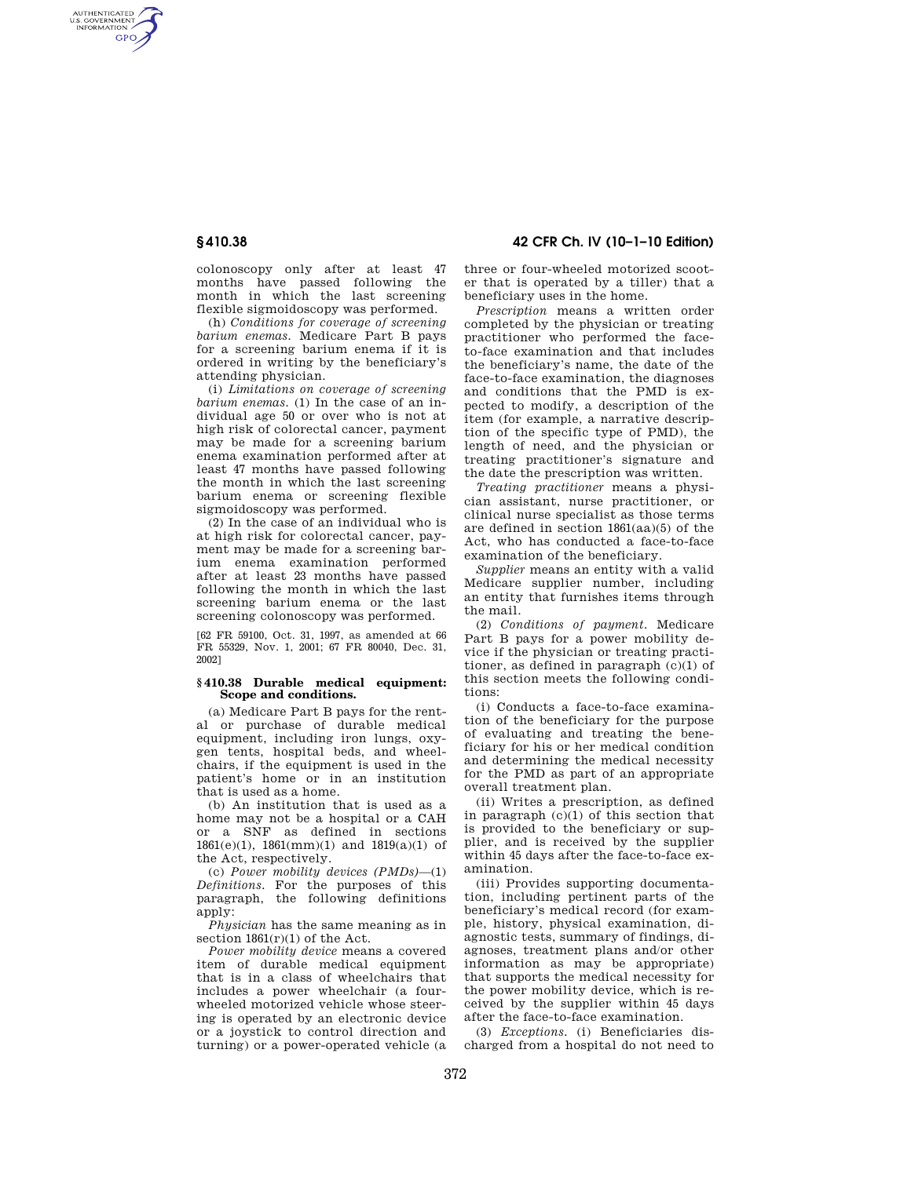AUTHENTICATED<br>U.S. GOVERNMENT<br>INFORMATION **GPO** 

> colonoscopy only after at least 47 months have passed following the month in which the last screening flexible sigmoidoscopy was performed.

> (h) *Conditions for coverage of screening barium enemas.* Medicare Part B pays for a screening barium enema if it is ordered in writing by the beneficiary's attending physician.

> (i) *Limitations on coverage of screening barium enemas.* (1) In the case of an individual age 50 or over who is not at high risk of colorectal cancer, payment may be made for a screening barium enema examination performed after at least 47 months have passed following the month in which the last screening barium enema or screening flexible sigmoidoscopy was performed.

> (2) In the case of an individual who is at high risk for colorectal cancer, payment may be made for a screening barium enema examination performed after at least 23 months have passed following the month in which the last screening barium enema or the last screening colonoscopy was performed.

> [62 FR 59100, Oct. 31, 1997, as amended at 66 FR 55329, Nov. 1, 2001; 67 FR 80040, Dec. 31, 2002]

## **§ 410.38 Durable medical equipment: Scope and conditions.**

(a) Medicare Part B pays for the rental or purchase of durable medical equipment, including iron lungs, oxygen tents, hospital beds, and wheelchairs, if the equipment is used in the patient's home or in an institution that is used as a home.

(b) An institution that is used as a home may not be a hospital or a CAH or a SNF as defined in sections 1861(e)(1), 1861(mm)(1) and 1819(a)(1) of the Act, respectively.

(c) *Power mobility devices (PMDs)*—(1) *Definitions.* For the purposes of this paragraph, the following definitions apply:

*Physician* has the same meaning as in section  $1861(r)(1)$  of the Act.

*Power mobility device* means a covered item of durable medical equipment that is in a class of wheelchairs that includes a power wheelchair (a fourwheeled motorized vehicle whose steering is operated by an electronic device or a joystick to control direction and turning) or a power-operated vehicle (a

**§ 410.38 42 CFR Ch. IV (10–1–10 Edition)** 

three or four-wheeled motorized scooter that is operated by a tiller) that a beneficiary uses in the home.

*Prescription* means a written order completed by the physician or treating practitioner who performed the faceto-face examination and that includes the beneficiary's name, the date of the face-to-face examination, the diagnoses and conditions that the PMD is expected to modify, a description of the item (for example, a narrative description of the specific type of PMD), the length of need, and the physician or treating practitioner's signature and the date the prescription was written.

*Treating practitioner* means a physician assistant, nurse practitioner, or clinical nurse specialist as those terms are defined in section 1861(aa)(5) of the Act, who has conducted a face-to-face examination of the beneficiary.

*Supplier* means an entity with a valid Medicare supplier number, including an entity that furnishes items through the mail.

(2) *Conditions of payment.* Medicare Part B pays for a power mobility device if the physician or treating practitioner, as defined in paragraph (c)(1) of this section meets the following conditions:

(i) Conducts a face-to-face examination of the beneficiary for the purpose of evaluating and treating the beneficiary for his or her medical condition and determining the medical necessity for the PMD as part of an appropriate overall treatment plan.

(ii) Writes a prescription, as defined in paragraph (c)(1) of this section that is provided to the beneficiary or supplier, and is received by the supplier within 45 days after the face-to-face examination.

(iii) Provides supporting documentation, including pertinent parts of the beneficiary's medical record (for example, history, physical examination, diagnostic tests, summary of findings, diagnoses, treatment plans and/or other information as may be appropriate) that supports the medical necessity for the power mobility device, which is received by the supplier within 45 days after the face-to-face examination.

(3) *Exceptions.* (i) Beneficiaries discharged from a hospital do not need to